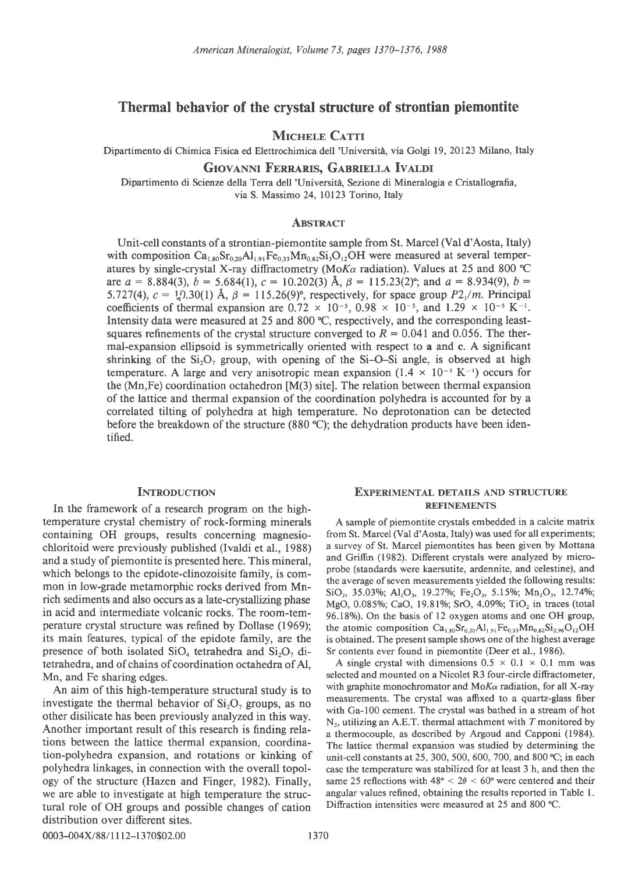# Thermal behavior of the crystal structure of strontian piemontite

# **MICHELE CATTI**

Dipartimento di Chimica Fisica ed Elettrochimica dell 'UniversitA, via Golgi 19,20123 Milano, Italy

## GIOVANNI FERRARIS, GABRIELLA IVALDI

Dipartimento di Scienze della Terra dell 'Universiti, Sezione di Mineralogia e Cristallografia, via S. Massimo 24, l0l23 Torino, Italy

## **ABSTRACT**

Unit-cell constants of a strontian-piemontite sample from St. Marcel (Val d'Aosta, Italy) with composition  $Ca_{1.80}Sr_{0.20}Al_{1.91}Fe_{0.33}Mn_{0.82}Si_3O_{12}OH$  were measured at several temperatures by single-crystal X-ray diffractometry (Mo $K\alpha$  radiation). Values at 25 and 800 °C are  $a = 8.884(3)$ ,  $b = 5.684(1)$ ,  $c = 10.202(3)$  Å,  $\beta = 115.23(2)$ °; and  $a = 8.934(9)$ ,  $b =$ 5.727(4),  $c = \frac{1}{2}$ .30(1) Å,  $\beta = 115.26(9)$ °, respectively, for space group P2<sub>1</sub>/m. Principal coefficients of thermal expansion are  $0.72 \times 10^{-5}$ ,  $0.98 \times 10^{-5}$ , and  $1.29 \times 10^{-5}$  K<sup>-1</sup>. Intensity data were measured at 25 and 800 'C, respectively, and the corresponding leastsquares refinements of the crystal structure converged to  $R = 0.041$  and 0.056. The thermal-expansion ellipsoid is symmetrically oriented with respect to a and c. A significant shrinking of the  $Si_2O_2$  group, with opening of the  $Si-O-Si$  angle, is observed at high temperature. A large and very anisotropic mean expansion  $(1.4 \times 10^{-5} \text{ K}^{-1})$  occurs for the (Mn,Fe) coordination octahedron [M(3) site]. The relation between thermal expansion of the lattice and thermal expansion of the coordination polyhedra is accounted for by a correlated tilting of polyhedra at high temperature. No deprotonation can be detected before the breakdown of the structure (880 °C); the dehydration products have been identified.

## **INTRODUCTION**

In the framework of a research program on the hightemperature crystal chemistry of rock-forming minerals containing OH groups, results concerning magnesiochloritoid were previously published (Ivaldi et al., 1988) and a study of piemontite is presented here. This mineral, which belongs to the epidote-clinozoisite family, is common in low-grade metamorphic rocks derived from Mnrich sediments and also occurs as a late-crystallizing phase in acid and intermediate volcanic rocks. The room-temperature crystal structure was refined by Dollase (1969); its main features, typical of the epidote family, are the presence of both isolated  $SiO<sub>4</sub>$  tetrahedra and  $Si<sub>2</sub>O<sub>2</sub>$  ditetrahedra, and of chains of coordination octahedra of Al, Mn, and Fe sharing edges.

An aim of this high-temperature structural study is to investigate the thermal behavior of  $Si<sub>2</sub>O<sub>7</sub>$  groups, as no other disilicate has been previously analyzed in this way. Another important result of this research is finding relations between the lattice thermal expansion, coordination-polyhedra expansion, and rotations or kinking of polyhedra linkages, in connection with the overall topology of the structure (Hazen and Finger, 1982). Finally, we are able to investigate at high temperature the structural role of OH groups and possible changes of cation distribution over different sites.

## EXPERIMENTAL DETAILS AND STRUCTURE REFINEMENTS

A sample of piemontite crystals embedded in a calcite matrix from St. Marcel (Val d'Aosta, Italy) was used for all experiments; a survey of St. Marcel piemontites has been given by Mottana and Griffin (1982). Different crystals were analyzed by microprobe (standards were kaersutite, ardennite, and celestine), and the average of seven measurements yielded the following results:  $\text{SiO}_2$ , 35.03%; Al<sub>2</sub>O<sub>3</sub>, 19.27%; Fe<sub>2</sub>O<sub>3</sub>, 5.15%; Mn<sub>2</sub>O<sub>3</sub>, 12.74%; MgO, 0.085%; CaO, 19.81%; SrO, 4.09%; TiO<sub>2</sub> in traces (total 96.18%). On the basis of 12 oxygen atoms and one OH group, the atomic composition  $Ca_{1.80}Sr_{0.20}Al_{1.91}Fe_{0.33}Mn_{0.82}Si_{2.96}O_{12}OH$ is obtained. The present sample shows one of the highest average Sr contents ever found in piemontite (Deer et al., 1986).

A single crystal with dimensions  $0.5 \times 0.1 \times 0.1$  mm was selected and mounted on a Nicolet R3 four-circle diffractometer, with graphite monochromator and  $M_0K_\alpha$  radiation, for all X-ray measurements. The crystal was affixed to a quartz-glass fiber with Ga-100 cement. The crystal was bathed in a stream of hot  $N<sub>2</sub>$ , utilizing an A.E.T. thermal attachment with T monitored by a thermocouple, as described by Argoud and Capponi (1984). The lattice thermal expansion was studied by determining the unit-cell constants at 25, 300, 500, 600, 700, and 800 °C; in each case the temperature was stabilized for at least 3 h, and then the same 25 reflections with  $48^{\circ} < 2\theta < 60^{\circ}$  were centered and their angular values refined, obtaining the results reported in Table 1. Diffraction intensities were measured at 25 and 800 °C.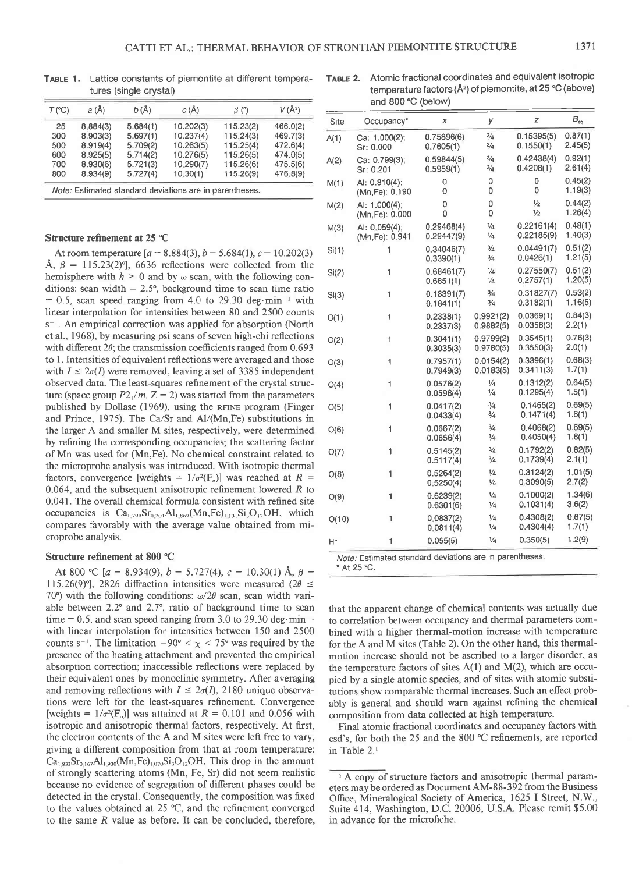| $T$ (°C) | a(A)     | b (Å)    | C(A)      | $\beta$ (°) | $V(\AA^3)$ |
|----------|----------|----------|-----------|-------------|------------|
| 25       | 8.884(3) | 5.684(1) | 10.202(3) | 115.23(2)   | 466.0(2)   |
| 300      | 8.903(3) | 5.697(1) | 10.237(4) | 115.24(3)   | 469.7(3)   |
| 500      | 8.919(4) | 5.709(2) | 10.263(5) | 115.25(4)   | 472.6(4)   |
| 600      | 8.925(5) | 5.714(2) | 10.276(5) | 115.26(5)   | 474.0(5)   |
| 700      | 8.930(6) | 5.721(3) | 10.290(7) | 115.26(6)   | 475.5(6)   |
| 800      | 8.934(9) | 5.727(4) | 10.30(1)  | 115.26(9)   | 476.8(9)   |

TABLE 1. Lattice constants of piemontite at different temperatures (single crystal)

# TABLE 2. Atomic fractional coordinates and equivalent isotropic temperature factors (Å<sup>2</sup>) of piemontite, at 25 °C (above) and 800'C (below)

Note: Estimated standard deviations are in parentheses.

### Structure refinement at 25 °C

At room temperature  $[a = 8.884(3), b = 5.684(1), c = 10.202(3)$ Å,  $\beta = 115.23(2)$ °, 6636 reflections were collected from the hemisphere with  $h \ge 0$  and by  $\omega$  scan, with the following conditions: scan width  $= 2.5^{\circ}$ , background time to scan time ratio  $= 0.5$ , scan speed ranging from 4.0 to 29.30 deg.min<sup>-1</sup> with linear interpolation for intensities between 80 and 2500 counts s<sup>-1</sup>. An empirical correction was applied for absorption (North et al., I 968), by measuring psi scans of seven high-chi reflections with different  $2\theta$ ; the transmission coefficients ranged from 0.693 to 1. Intensities of equivalent reflections were averaged and those with  $I \leq 2\sigma(I)$  were removed, leaving a set of 3385 independent observed data. The least-squares refinement of the crystal structure (space group  $P2_1/m$ ,  $Z=2$ ) was started from the parameters published by Dollase (1969), using the RFINE program (Finger and Prince, 1975). The Ca/Sr and Al/(Mn, Fe) substitutions in the larger A and smaller M sites, respectively, were determined by refining the corresponding occupancies; the scattering factor of Mn was used for (Mn,Fe). No chemical constraint related to the microprobe analysis was introduced. With isotropic thermal factors, convergence [weights =  $1/\sigma^2(F_0)$ ] was reached at R = 0.064, and the subsequent anisotropic refinement lowered  $R$  to 0.041. The overall chemical formula consistent with refined site occupancies is  $Ca_{1,799}Sr_{0,201}Al_{1,869}(Mn,Fe)_{1,131}Si_3O_{12}OH$ , which compares favorably with the average value obtained from microprobe analysis.

### Structure refinement at 800'C

At 800 °C [a = 8.934(9), b = 5.727(4), c = 10.30(1) Å,  $\beta$  = 115.26(9)<sup>o</sup>], 2826 diffraction intensities were measured (2 $\theta \leq$ 70°) with the following conditions:  $\omega/2\theta$  scan, scan width variable between  $2.2^{\circ}$  and  $2.7^{\circ}$ , ratio of background time to scan time = 0.5, and scan speed ranging from 3.0 to 29.30 deg $\cdot$ min<sup>-1</sup> with linear interpolation for intensities between 150 and 2500 counts s<sup>-1</sup>. The limitation  $-90^{\circ} < \chi < 75^{\circ}$  was required by the presence of the heating attachment and prevented the empirical absorption correction; inaccessible reflections were replaced by their equivalent ones by monoclinic symmetry- After averaging and removing reflections with  $I \leq 2\sigma(I)$ , 2180 unique observations were left for the least-squares refinement. Convergence [weights =  $1/\sigma^2(F_0)$ ] was attained at  $R = 0.101$  and 0.056 with isotropic and anisotropic thermal factors, respectively. At first, the electron contents of the A and M sites were left free to vary, giving a different composition from that at room temperature:  $Ca<sub>1,833</sub>Sr<sub>0.167</sub>Al<sub>1,930</sub>(Mn,Fe)<sub>1,070</sub>Si<sub>3</sub>O<sub>12</sub>OH. This drop in the amount$ of strongly scattering atoms (Mn, Fe, Sr) did not seem realistic because no evidence of segregation of different phases could be detected in the crystal. Consequently, the composition was fixed to the values obtained at 25 "C, and the refinement converged to the same R value as before. It can be concluded, therefore,

| Site  | Occupancy*                       | x                        | у                              | z                              | $B_{\rm eq}$       |
|-------|----------------------------------|--------------------------|--------------------------------|--------------------------------|--------------------|
| A(1)  | Ca: 1.000(2);<br>Sr: 0.000       | 0.75896(6)<br>0.7605(1)  | $\frac{3}{4}$<br>$\frac{3}{4}$ | 0.15395(5)<br>0.1550(1)        | 0.87(1)<br>2.45(5) |
| A(2)  | Ca: 0.799(3);<br>Sr: 0.201       | 0.59844(5)<br>0.5959(1)  | $\frac{3}{4}$<br>$\frac{3}{4}$ | 0.42438(4)<br>0.4208(1)        | 0.92(1)<br>2.61(4) |
| M(1)  | Al: 0.810(4);<br>(Mn, Fe): 0.190 | 0<br>0                   | 0<br>0                         | 0<br>0                         | 0.45(2)<br>1.19(3) |
| M(2)  | AI: 1.000(4);<br>(Mn, Fe): 0.000 | 0<br>0                   | 0<br>0                         | $\frac{1}{2}$<br>$\frac{1}{2}$ | 0.44(2)<br>1.26(4) |
| M(3)  | AI: 0.059(4);<br>(Mn,Fe): 0.941  | 0.29468(4)<br>0.29447(9) | $\frac{1}{4}$<br>$\frac{1}{4}$ | 0.22161(4)<br>0.22185(9)       | 0.48(1)<br>1.40(3) |
| Si(1) | 1                                | 0.34046(7)<br>0.3390(1)  | $\frac{3}{4}$<br>$\frac{3}{4}$ | 0.04491(7)<br>0.0426(1)        | 0.51(2)<br>1.21(5) |
| Si(2) | 1                                | 0.68461(7)<br>0.6851(1)  | $\frac{1}{4}$<br>$\frac{1}{4}$ | 0.27550(7)<br>0.2757(1)        | 0.51(2)<br>1.20(5) |
| Si(3) | 1                                | 0.18391(7)<br>0.1841(1)  | $\frac{3}{4}$<br>$\frac{3}{4}$ | 0.31827(7)<br>0.3182(1)        | 0.53(2)<br>1.16(5) |
| O(1)  | 1                                | 0.2338(1)<br>0.2337(3)   | 0.9921(2)<br>0.9882(5)         | 0.0369(1)<br>0.0358(3)         | 0.84(3)<br>2.2(1)  |
| O(2)  | 1                                | 0.3041(1)<br>0.3035(3)   | 0.9799(2)<br>0.9780(5)         | 0.3545(1)<br>0.3550(3)         | 0.76(3)<br>2.0(1)  |
| O(3)  | 1                                | 0.7957(1)<br>0.7949(3)   | 0.0154(2)<br>0.0183(5)         | 0.3396(1)<br>0.3411(3)         | 0.68(3)<br>1.7(1)  |
| O(4)  | 1                                | 0.0576(2)<br>0.0598(4)   | $\frac{1}{4}$<br>$\frac{1}{4}$ | 0.1312(2)<br>0.1295(4)         | 0.64(5)<br>1.5(1)  |
| O(5)  | 1                                | 0.0417(2)<br>0.0433(4)   | $\frac{3}{4}$<br>$\frac{3}{4}$ | 0.1465(2)<br>0.1471(4)         | 0.69(5)<br>1.6(1)  |
| O(6)  | $\overline{1}$                   | 0.0667(2)<br>0.0656(4)   | $\frac{3}{4}$<br>$\frac{3}{4}$ | 0.4068(2)<br>0.4050(4)         | 0.69(5)<br>1.8(1)  |
| O(7)  | 1                                | 0.5145(2)<br>0.5117(4)   | 3/4<br>3/4                     | 0.1792(2)<br>0.1739(4)         | 0.82(5)<br>2.1(1)  |
| O(8)  | 1                                | 0.5264(2)<br>0.5250(4)   | 1/4<br>$\frac{1}{4}$           | 0.3124(2)<br>0.3090(5)         | 1.01(5)<br>2.7(2)  |
| O(9)  | 1                                | 0.6239(2)<br>0.6301(6)   | $\frac{1}{4}$<br>$\frac{1}{4}$ | 0.1000(2)<br>0.1031(4)         | 1.34(6)<br>3.6(2)  |
| O(10) | 1                                | 0.0837(2)<br>0.0811(4)   | $\frac{1}{4}$<br>1/4           | 0.4308(2)<br>0.4304(4)         | 0.67(5)<br>1.7(1)  |
| $H^*$ | 1                                | 0.055(5)                 | $\frac{1}{4}$                  | 0.350(5)                       | 1.2(9)             |

Note: Estimated standard deviations are in parentheses.

that the apparent change of chemical contents was actually due to correlation between occupancy and thermal parameters combined with a higher thermal-motion increase with temperature for the A and M sites (Table 2). On the other hand, this thermalmotion increase should not be ascribed to a larger disorder, as the temperature factors of sites A(l) and M(2), which are occupied by a single atomic species, and of sites with atomic substitutions show comparable thermal increases. Such an efect probably is general and should warn against refining the chemical composition from data collected at high temperature.

Final atomic fractional coordinates and occupancy factors with esd's, for both the 25 and the 800 "C refinements, are reported in Table 2.'

 $*$  At 25 $°C$ .

<sup>&</sup>lt;sup>1</sup> A copy of structure factors and anisotropic thermal parameters may be ordered as Document AM-88-392 from the Business Office, Mineralogical Society of America, 1625 I Street, N.W., Suite 414, Washington, D.C. 20006, U.S.A. Please remit \$5.00 in advance for the microfiche.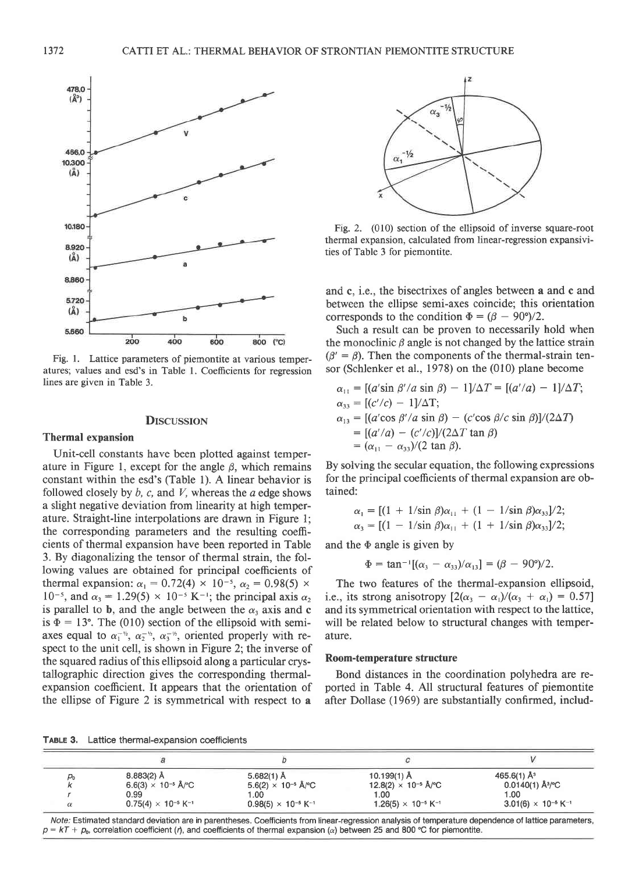

Fig. l. Lattice parameters of piemontite at various temperatures; values and esd's in Table l. Coefficients for regression lines are given in Table 3.

#### **DISCUSSION**

## Thermal expansion

Unit-cell constants have been plotted against temperature in Figure 1, except for the angle  $\beta$ , which remains constant within the esd's (Table l). A linear behavior is followed closely by  $b$ ,  $c$ , and  $V$ , whereas the  $a$  edge shows a slight negative deviation from linearity at high temperature. Straight-line interpolations are drawn in Figure l; the corresponding parameters and the resulting coefficients of thermal expansion have been reported in Table 3. By diagonalizing the tensor of thermal strain, the following values are obtained for principal coefficients of thermal expansion:  $\alpha_1 = 0.72(4) \times 10^{-5}$ ,  $\alpha_2 = 0.98(5) \times$  $10^{-5}$ , and  $\alpha_3 = 1.29(5) \times 10^{-5}$  K<sup>-1</sup>; the principal axis  $\alpha_2$ is parallel to **b**, and the angle between the  $\alpha_3$  axis and **c** is  $\Phi = 13^{\circ}$ . The (010) section of the ellipsoid with semiaxes equal to  $\alpha_1^{-\gamma_1}$ ,  $\alpha_2^{-\gamma_2}$ ,  $\alpha_3^{-\gamma_3}$ , oriented properly with respect to the unit cell, is shown in Figure 2; the inverse of the squared radius of this ellipsoid along a particular crystallographic direction gives the corresponding thermalexpansion coefficient. It appears that the orientation of the ellipse of Figure 2 is symmetrical with respect to a



Fig. 2. (010) section of the ellipsoid of inverse square-root thermal expansion, calculated from linear-regression expansivities of Table 3 for piemontite.

and c, i.e., the bisectrixes of angles between a and c and between the ellipse semi-axes coincide; this orientation corresponds to the condition  $\Phi = (\beta - 90^{\circ})/2$ .

Such a result can be proven to necessarily hold when the monoclinic  $\beta$  angle is not changed by the lattice strain  $(\beta' = \beta)$ . Then the components of the thermal-strain tensor (Schlenker et al., 1978) on the (010) plane become

$$
\alpha_{11} = [(a'\sin\beta'/a\sin\beta) - 1]/\Delta T = [(a'/a) - 1]/\Delta T;
$$
  
\n
$$
\alpha_{33} = [(c'/c) - 1]/\Delta T;
$$
  
\n
$$
\alpha_{13} = [(a'\cos\beta'/a\sin\beta) - (c'\cos\beta/c\sin\beta)]/(2\Delta T)
$$
  
\n
$$
= [(a'/a) - (c'/c)]/(2\Delta T \tan\beta)
$$
  
\n
$$
= (\alpha_{11} - \alpha_{33})/(2 \tan \beta).
$$

By solving the secular equation, the following expressions for the principal coefficients of thermal expansion are obtained:

$$
\alpha_1 = [(1 + 1/\sin \beta)\alpha_{11} + (1 - 1/\sin \beta)\alpha_{33}]/2; \n\alpha_3 = [(1 - 1/\sin \beta)\alpha_{11} + (1 + 1/\sin \beta)\alpha_{33}]/2;
$$

and the  $\Phi$  angle is given by

$$
\Phi = \tan^{-1}[(\alpha_3 - \alpha_{33})/\alpha_{13}] = (\beta - 90^{\circ})/2.
$$

The two features of the thermal-expansion ellipsoid, i.e., its strong anisotropy  $\left[2(\alpha_3 - \alpha_1)/(\alpha_3 + \alpha_1)\right] = 0.57$ ] and its symmetrical orientation with respect to the lattice, will be related below to structural changes with temperature.

### Room-temperature structure

Bond distances in the coordination polyhedra are reported in Table 4. All structural features of piemontite after Dollase (1969) are substantially confirmed, includ-

TABLE 3, Lattice thermal-expansion coefficients

| μο       | $8.883(2)$ Å                             | $5.682(1)$ Å                             | $10.199(1)$ Å                            | 465.6(1) $A^3$                           |
|----------|------------------------------------------|------------------------------------------|------------------------------------------|------------------------------------------|
|          | $6.6(3) \times 10^{-5}$ Å/°C             | $5.6(2) \times 10^{-5}$ Å/°C             | $12.8(2) \times 10^{-5}$ Å/°C            | $0.0140(1)$ Å $\degree$ C                |
|          | 0.99                                     | 1.00                                     | 1.00                                     | 1.00                                     |
| $\alpha$ | $0.75(4) \times 10^{-5}$ K <sup>-1</sup> | $0.98(5) \times 10^{-5}$ K <sup>-1</sup> | $1.26(5) \times 10^{-5}$ K <sup>-1</sup> | $3.01(6) \times 10^{-6}$ K <sup>-1</sup> |

Note; Estimated standard deviation are in parentheses. Coefficients from linear-regression analysis ot temperature dependence of lattice parameters,  $p = kT + p_0$ , correlation coefficient (*i*), and coefficients of thermal expansion ( $\alpha$ ) between 25 and 800 °C for piemontite.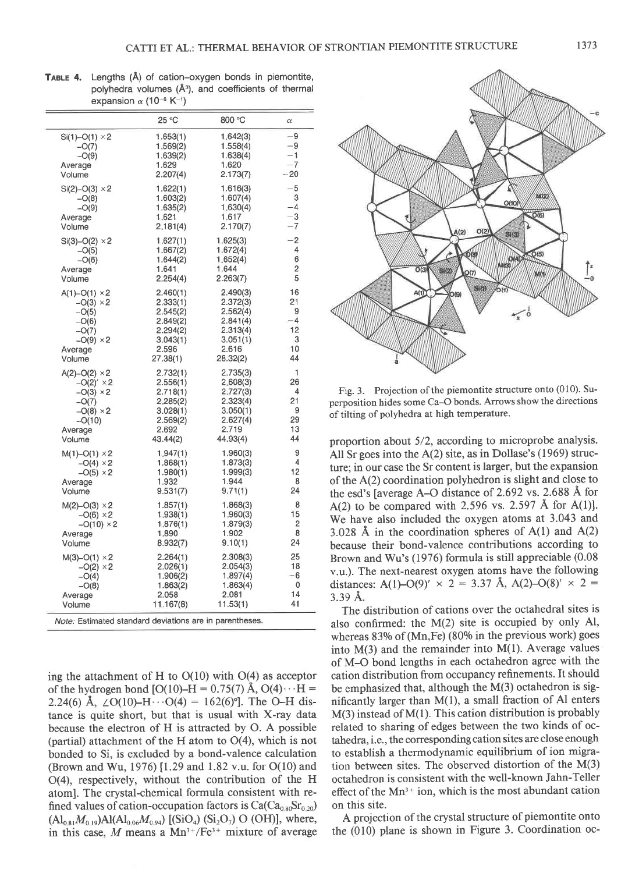|                                                         | 25 °C     | 800 °C   | $\alpha$ |  |
|---------------------------------------------------------|-----------|----------|----------|--|
| $Si(1) - O(1) \times 2$                                 | 1.653(1)  | 1.642(3) | $-9$     |  |
| $-O(7)$                                                 | 1.569(2)  | 1.558(4) | $-9$     |  |
| $-O(9)$                                                 | 1.639(2)  | 1.638(4) | $-1$     |  |
| Average                                                 | 1.629     | 1.620    | $-7$     |  |
| Volume                                                  | 2.207(4)  | 2.173(7) | $-20$    |  |
| $Si(2) - O(3) \times 2$                                 | 1.622(1)  | 1.616(3) | $-5$     |  |
| $-O(8)$                                                 | 1.603(2)  | 1.607(4) | 3        |  |
| $-O(9)$                                                 | 1.635(2)  | 1.630(4) | $-4$     |  |
| Average                                                 | 1.621     | 1.617    | $^{-3}$  |  |
| Volume                                                  | 2,181(4)  | 2.170(7) | $-7$     |  |
| $Si(3) - O(2) \times 2$                                 | 1,627(1)  | 1.625(3) | $-2$     |  |
| $-O(5)$                                                 | 1.667(2)  | 1.672(4) | 4        |  |
| $-O(6)$                                                 | 1.644(2)  | 1.652(4) | 6        |  |
| Average                                                 | 1.641     | 1.644    | 2        |  |
| Volume                                                  | 2.254(4)  | 2.263(7) | 5        |  |
| $A(1) - O(1) \times 2$                                  | 2.460(1)  | 2.490(3) | 16       |  |
| $-O(3) \times 2$                                        | 2.333(1)  | 2.372(3) | 21       |  |
| $-O(5)$                                                 | 2.545(2)  | 2.562(4) | 9        |  |
| $-O(6)$                                                 | 2.849(2)  | 2.841(4) | -4       |  |
| $-O(7)$                                                 | 2.294(2)  | 2.313(4) | 12       |  |
| $-O(9) \times 2$                                        | 3.043(1)  | 3.051(1) | 3        |  |
| Average                                                 | 2.596     | 2.616    | 10       |  |
| Volume                                                  | 27.38(1)  | 28.32(2) | 44       |  |
| $A(2)-O(2) \times 2$                                    | 2.732(1)  | 2.735(3) | 1        |  |
| $-O(2)' \times 2$                                       | 2.556(1)  | 2.608(3) | 26       |  |
| $-O(3) \times 2$                                        | 2.718(1)  | 2.727(3) | 4        |  |
| $-O(7)$                                                 | 2.285(2)  | 2.323(4) | 21       |  |
| $-O(8) \times 2$                                        | 3.028(1)  | 3.050(1) | 9        |  |
| $-O(10)$                                                | 2.569(2)  | 2.627(4) | 29       |  |
| Average                                                 | 2.692     | 2.719    | 13       |  |
| Volume                                                  | 43.44(2)  | 44.93(4) | 44       |  |
| $M(1) - O(1) \times 2$                                  | 1.947(1)  | 1.960(3) | 9        |  |
| $-O(4) \times 2$                                        | 1.868(1)  | 1.873(3) | 4        |  |
| $-O(5) \times 2$                                        | 1.980(1)  | 1.999(3) | 12       |  |
| Average                                                 | 1.932     | 1.944    | 8        |  |
| Volume                                                  | 9.531(7)  | 9.71(1)  | 24       |  |
| $M(2) - O(3) \times 2$                                  | 1.857(1)  | 1.868(3) | 8        |  |
| $-O(6) \times 2$                                        | 1.938(1)  | 1,960(3) | 15       |  |
| $-O(10) \times 2$                                       | 1.876(1)  | 1.879(3) | 2        |  |
| Average                                                 | 1.890     | 1.902    | 8        |  |
| Volume                                                  | 8.932(7)  | 9.10(1)  | 24       |  |
| $M(3) - O(1) \times 2$                                  | 2.264(1)  | 2.308(3) | 25       |  |
| $-O(2) \times 2$                                        | 2.026(1)  | 2.054(3) | 18       |  |
| $-O(4)$                                                 | 1.906(2)  | 1.897(4) | $-6$     |  |
| $-O(8)$                                                 | 1.863(2)  | 1.863(4) | 0        |  |
| Average                                                 | 2.058     | 2.081    | 14       |  |
| Volume                                                  | 11.167(8) | 11.53(1) | 41       |  |
| Note: Estimated standard deviations are in parentheses. |           |          |          |  |

TABLE 4. Lengths (Å) of cation-oxygen bonds in piemontite, polyhedra volumes  $(A<sup>3</sup>)$ , and coefficients of thermal expansion  $\alpha$  (10<sup>-6</sup> K<sup>-1</sup>)

ing the attachment of H to  $O(10)$  with  $O(4)$  as acceptor of the hydrogen bond [O(10)–H = 0.75(7) Å, O(4) $\cdots$ H = 2.24(6) Å,  $\angle O(10) - H \cdots O(4) = 162(6)$ <sup>o</sup>]. The O-H distance is quite short, but that is usual with X-ray data because the electron of H is attracted by O. A possible (partial) attachment of the H atom to  $O(4)$ , which is not bonded to Si, is excluded by a bond-valence calculation (Brown and Wu, 1976) [1.29 and 1.82 v.u. for  $O(10)$  and O(4), respectively, without the contribution of the H atoml. The crystal-chemical formula consistent with refined values of cation-occupation factors is  $Ca(Ca_{0.80}Sr_{0.20})$  $(Al_{0.81}M_{0.19})Al(Al_{0.06}M_{0.94})$  [(SiO<sub>4</sub>) (Si<sub>2</sub>O<sub>7</sub>) O (OH)], where, in this case, M means a  $Mn^{3+}/Fe^{3+}$  mixture of average



Fig. 3. Projection of the piemontite structure onto (010). Superposition hides some Ca-O bonds. Arrows show the directions of tilting of polyhedra at high temperature.

proportion about 5/2, according to microprobe analysis. All Sr goes into the A(2) site, as in Dollase's (1969) structure; in our case the Sr content is larger, but the expansion of the A(2) coordination polyhedron is slight and close to the esd's [average A–O distance of  $2.692$  vs.  $2.688$  Å for A(2) to be compared with 2.596 vs. 2.597 Å for A(1)]. We have also included the oxygen atoms at 3.043 and 3.028 Å in the coordination spheres of  $A(1)$  and  $A(2)$ because their bond-valence contributions according to Brown and Wu's (1976) formula is still appreciable (0.08 v.u.). The next-nearest oxygen atoms have the following distances: A(1)–O(9)'  $\times$  2 = 3.37 Å, A(2)–O(8)'  $\times$  2 = 3.39 A.

The distribution of cations over the octahedral sites is also confirmed: the M(2) site is occupied by only Al, whereas  $83\%$  of (Mn, Fe) (80% in the previous work) goes into  $M(3)$  and the remainder into  $M(1)$ . Average values of M-O bond lengths in each octahedron agree with the cation distribution from occupancy refinements. It should be emphasized that, although the M(3) octahedron is significantly larger than M(l), a small fraction of Al enters M(3) instead of M(l). This cation distribution is probably related to sharing of edges between the two kinds of octahedra, i.e., the corresponding cation sites are close enough to establish a thermodynamic equilibrium of ion migration between sites. The observed distortion of the M(3) octahedron is consistent with the well-known Jahn-Teller effect of the  $Mn^{3+}$  ion, which is the most abundant cation on this site.

A projection of the crystal structure of piemontite onto the (010) plane is shown in Figure 3. Coordination oc-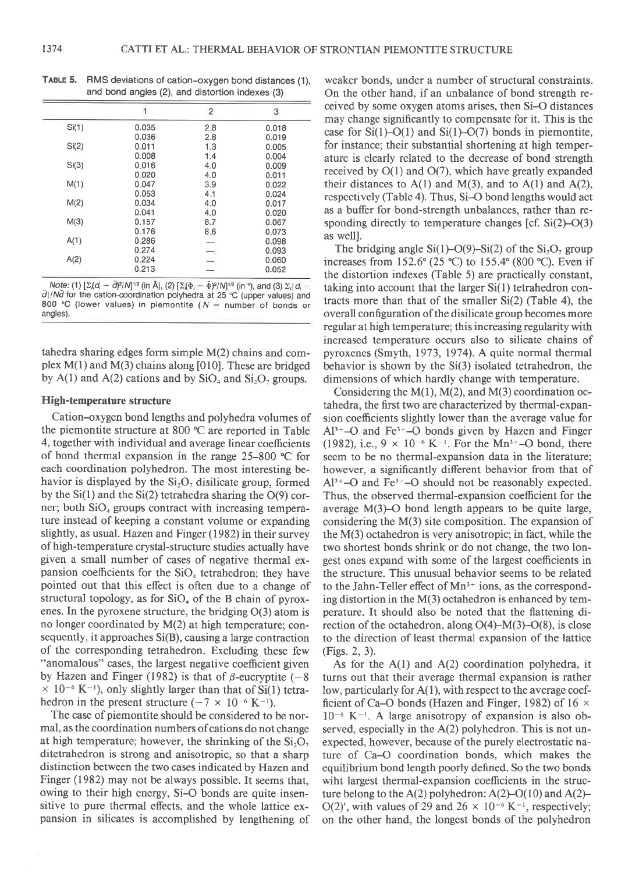|       | $\overline{2}$ | 3        |
|-------|----------------|----------|
| 0.035 | 2.8            | 0.018    |
| 0.036 | 2.8            | 0.019    |
| 0.011 | 1.3            | 0.005    |
| 0.008 | 1.4            | 0.004    |
| 0.016 | 4.0            | 0.009    |
| 0.020 | 4.0            | 0.011    |
| 0.047 | 3.9            | 0.022    |
| 0.053 | 4.1            | 0.024    |
| 0.034 | 4.0            | 0.017    |
| 0.041 | 4.0            | 0.020    |
| 0.157 | 8.7            | 0.067    |
| 0.176 |                | 0.073    |
| 0.286 |                | 0.098    |
| 0.274 |                | 0.093    |
| 0.224 |                | 0.060    |
| 0.213 |                | 0.052    |
|       |                | 8.6<br>- |

TABLE 5. RMS deviations of cation-oxygen bond distances (1), and bond angles (2), and distortion indexes (3)

Note: (1)  $[\Sigma/d, -\overline{d}]^{2}/N]^{1/2}$  (in Å), (2)  $[\Sigma/(\Phi, -\overline{\Phi})^{2}/N]^{1/2}$  (in °), and (3)  $\Sigma, |d\rangle$ .  $\overline{d}$ |/Nd for the cation-coordination polyhedra at 25 °C (upper values) and 800 °C (lower values) in piemontite ( $N =$  number of bonds or angles).

tahedra sharing edges form simple M(2) chains and complex  $M(1)$  and  $M(3)$  chains along [010]. These are bridged by A(1) and A(2) cations and by  $SiO<sub>4</sub>$  and  $Si<sub>2</sub>O<sub>7</sub>$  groups.

### High-temperature structure

Cation-oxygen bond lengths and polyhedra volumes of the piemontite structure at 800 "C are reported in Table 4, together with individual and average linear coefficients of bond thermal expansion in the range 25-800 "C for each coordination polyhedron. The most interesting behavior is displayed by the  $Si<sub>2</sub>O<sub>7</sub>$  disilicate group, formed by the  $Si(1)$  and the  $Si(2)$  tetrahedra sharing the  $O(9)$  corner; both  $SiO<sub>4</sub>$  groups contract with increasing temperature instead of keeping a constant volume or expanding slightly, as usual. Hazen and Finger (1982) in their survey of high-temperature crystal-structure studies actually have given a small number of cases of negative thermal expansion coefficients for the  $SiO<sub>4</sub>$  tetrahedron; they have pointed out that this effect is often due to a change of structural topology, as for  $SiO<sub>4</sub>$  of the B chain of pyroxenes. In the pyroxene structure, the bridging O(3) atom is no longer coordinated by M(2) at high temperature; consequently, it approaches Si(B), causing a large contraction of the corresponding tetrahedron. Excluding these few "anomalous" cases, the largest negative coefficient given by Hazen and Finger (1982) is that of  $\beta$ -eucryptite (-8)  $\times$  10<sup>-6</sup> K<sup>-1</sup>), only slightly larger than that of Si(1) tetrahedron in the present structure  $(-7 \times 10^{-6} \text{ K}^{-1})$ .

The case of piemontite should be considered to be normal, as the coordination numbers of cations do not change at high temperature; however, the shrinking of the  $Si<sub>2</sub>O<sub>7</sub>$ ditetrahedron is strong and anisotropic, so that a sharp distinction between the two cases indicated by Hazen and Finger (1982) may not be always possible. It seems that, owing to their high energy, Si-O bonds are quite insensitive to pure thermal effects, and the whole lattice expansion in silicates is accomplished by lengthening of weaker bonds, under a number of structural constraints. On the other hand, if an unbalance of bond strength received by some oxygen atoms arises, then Si-O distances may change significantly to compensate for it. This is the case for  $Si(1)-O(1)$  and  $Si(1)-O(7)$  bonds in piemontite, for instance; their substantial shortening at high temperature is clearly related to the decrease of bond strength received by  $O(1)$  and  $O(7)$ , which have greatly expanded their distances to  $A(1)$  and  $M(3)$ , and to  $A(1)$  and  $A(2)$ , respectively (Table 4). Thus, Si-O bond lengths would act as a buffer for bond-strength unbalances, rather than responding directly to temperature changes [cf.  $Si(2)$ –O(3) as welll.

The bridging angle Si(1)–O(9)–Si(2) of the  $Si<sub>2</sub>O<sub>7</sub>$  group increases from 152.6 $\degree$  (25  $\degree$ C) to 155.4 $\degree$  (800  $\degree$ C). Even if the distortion indexes (Table 5) are practically constant, taking into account that the larger Si(l) tetrahedron contracts more than that of the smaller Si(2) (Table 4), the overall configuration of the disilicate group becomes more regular at high temperature; this increasing regularity with increased temperature occurs also to silicate chains of pyroxenes (Smyth, 1973, 1974). A quite normal thermal behavior is shown by the Si(3) isolated tetrahedron, the dimensions of which hardly change with temperature.

Considering the  $M(1)$ ,  $M(2)$ , and  $M(3)$  coordination octahedra, the first two are characterized by thermal-expansion coefficients slightly lower than the average value for  $Al^{3+}-O$  and Fe<sup>3+</sup>-O bonds given by Hazen and Finger (1982), i.e.,  $9 \times 10^{-6}$  K<sup>-1</sup>. For the Mn<sup>3+</sup>-O bond, there seem to be no thermal-expansion data in the literature; however, a significantly different behavior from that of  $Al^{3+}-O$  and  $Fe^{3+}-O$  should not be reasonably expected. Thus, the observed thermal-expansion coefficient for the average M(3)-O bond length appears to be quite large, considering the M(3) site composition. The expansion of the M(3) octahedron is very anisotropic; in fact, while the two shortest bonds shrink or do not change, the two longest ones expand with some of the largest coefficients in the structure. This unusual behavior seems to be related to the Jahn-Teller effect of  $Mn^{3+}$  ions, as the corresponding distortion in the M(3) octahedron is enhanced by temperature. It should also be noted that the flattening direction of the octahedron, along  $O(4)-M(3)-O(8)$ , is close to the direction of least thermal expansion of the lattice (Figs. 2, 3).

As for the A(l) and A(2) coordination polyhedra, it turns out that their average thermal expansion is rather low, particularly for A(1), with respect to the average coefficient of Ca–O bonds (Hazen and Finger, 1982) of 16  $\times$  $10^{-6}$  K<sup> $-1$ </sup>. A large anisotropy of expansion is also observed, especially in the A(2) polyhedron. This is not unexpected, however, because of the purely electrostatic nature of Ca-O coordination bonds, which makes the equilibrium bond length poorly defined. So the two bonds wiht largest thermal-expansion coefficients in the structure belong to the A(2) polyhedron:  $A(2)-O(10)$  and  $A(2)-$ O(2)', with values of 29 and 26  $\times$  10<sup>-6</sup> K<sup>-1</sup>, respectively; on the other hand, the longest bonds of the polyhedron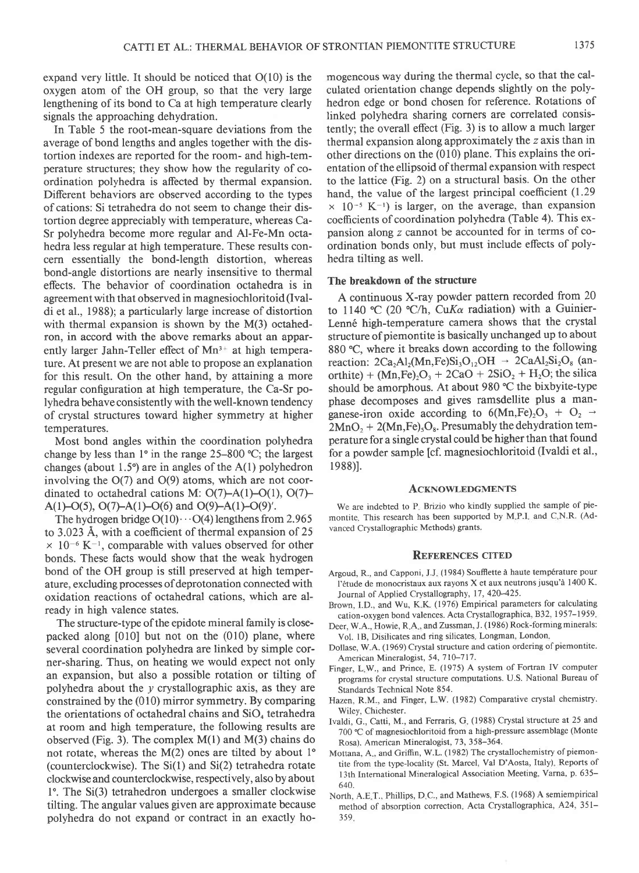expand very little. It should be noticed that  $O(10)$  is the oxygen atom of the OH group, so that the very large lengthening of its bond to Ca at high temperature clearly signals the approaching dehydration.

In Table 5 the root-mean-square deviations from the average of bond lengths and angles together with the distortion indexes are reported for the room- and high-temperature structures; they show how the regularity of coordination polyhedra is affected by thermal expansion. Different behaviors are observed according to the types of cations: Si tetrahedra do not seem to change their distortion degree appreciably with temperature, whereas Ca-Sr polyhedra become more regular and Al-Fe-Mn octahedra less regular at high temperature. These results concern essentially the bond-length distortion, whereas bond-angle distortions are nearly insensitive to thermal effects. The behavior of coordination octahedra is in agreement with that observed in magnesiochloritoid (Ivaldi et al., 1988); a particularly large increase of distortion with thermal expansion is shown by the M(3) octahedron, in accord with the above remarks about an apparently larger Jahn-Teller effect of  $Mn^{3+}$  at high temperature. At present we are not able to propose an explanation for this result. On the other hand, by attaining a more regular configuration at high temperature, the Ca-Sr polyhedra behave consistently with the well-known tendency of crystal structures toward higher symmetry at higher temperatures.

Most bond angles within the coordination polyhedra change by less than  $1^{\circ}$  in the range 25-800 °C; the largest changes (about 1.5 $\degree$ ) are in angles of the A(1) polyhedron involving the  $O(7)$  and  $O(9)$  atoms, which are not coordinated to octahedral cations M:  $O(7)-A(1)-O(1)$ ,  $O(7)-$ A(1)-O(5), O(7)-A(1)-O(6) and O(9)-A(1)-O(9)'.

The hydrogen bridge  $O(10) \cdots O(4)$  lengthens from 2.965 to 3.023 A, with a coefficient of thermal expansion of 25  $\times$  10<sup>-6</sup> K<sup>-1</sup>, comparable with values observed for other bonds. These facts would show that the weak hydrogen bond of the OH group is still preserved at high temperature, excluding processes of deprotonation connected with oxidation reactions of octahedral cations, which are already in high valence states.

The structure-type of the epidote mineral family is closepacked along [010] but not on the (010) plane, where several coordination polyhedra are linked by simple corner-sharing. Thus, on heating we would expect not only an expansion, but also a possible rotation or tilting of polyhedra about the  $y$  crystallographic axis, as they are constrained by the (010) mirror symmetry. By comparing the orientations of octahedral chains and  $SiO<sub>4</sub>$  tetrahedra at room and high temperature, the following results are observed (Fig. 3). The complex  $M(1)$  and  $M(3)$  chains do not rotate, whereas the  $M(2)$  ones are tilted by about 1<sup>o</sup> (counterclockwise). The  $Si(1)$  and  $Si(2)$  tetrahedra rotate clockwise and counterclockwise, respectively, also by about 1". The Si(3) tetrahedron undergoes a smaller clockwise tilting. The angular values given are approximate because polyhedra do not expand or contract in an exactly homogeneous way during the thermal cycle, so that the calculated orientation change depends slightly on the polyhedron edge or bond chosen for reference. Rotations of linked polyhedra sharing corners are correlated consistently; the overall effect (Fig. 3) is to allow a much larger thermal expansion along approximately the z axis than in other directions on the (010) plane. This explains the orientation of the ellipsoid of thermal expansion with respect to the lattice (Fig. 2) on a structural basis. On the other hand, the value of the largest principal coefficient  $(1.29)$  $\times$  10<sup>-5</sup> K<sup>-1</sup>) is larger, on the average, than expansion coefficients of coordination polyhedra (Table 4). This expansion along  $z$  cannot be accounted for in terms of coordination bonds only, but must include effects of polyhedra tilting as well.

## The breakdown of the structure

A continuous X-ray powder pattern recorded from 20 to 1140 °C (20 °C/h, CuK $\alpha$  radiation) with a Guinier-Lenné high-temperature camera shows that the crystal structure of piemontite is basically unchanged up to about 880 °C, where it breaks down according to the following reaction:  $2Ca<sub>2</sub>Al<sub>2</sub>(Mn,Fe)Si<sub>3</sub>O<sub>12</sub>OH \rightarrow 2CaAl<sub>2</sub>Si<sub>2</sub>O<sub>8</sub>$  (anorthite) +  $(Mn,Fe)_2O_3 + 2CaO + 2SiO_2 + H_2O$ ; the silica should be amorphous. At about 980 °C the bixbyite-type phase decomposes and gives ramsdellite plus a manganese-iron oxide according to  $6(Mn,Fe)_2O_3 + O_2 \rightarrow$  $2MnO_2 + 2(Mn,Fe)_3O_8$ . Presumably the dehydration temperature for a single crystal could be higher than that found for a powder sample [cf. magnesiochloritoid (Ivaldi et al., 1988)].

#### **ACKNOWLEDGMENTS**

We are indebted to P. Brizio who kindly supplied the sample of piemontite. This research has been supported by M.P.I. and C.N.R. (Advanced Crystallographic Methods) grants.

#### **REFERENCES CITED**

- Argoud, R., and Capponi, J.J. (1984) Soufflette à haute température pour l'étude de monocristaux aux rayons X et aux neutrons jusqu'à 1400 K. Journal of Applied Crystallography, 17, 420-425.
- Brown, I.D., and Wu, K.K. (1976) Empirical parameters for calculating cation-oxygen bond valences. Acta Crystallographica, B32, 1957-1959.
- Deer, W.A., Howie, R.A., and Zussman, J. (1986) Rock-forming minerals: Vol. 1B, Disilicates and ring silicates. Longman, London,
- Dollase, W.A. (1969) Crystal structure and cation ordering of piemontite. American Mineralogist, 54, 710-717.
- Finger, LW., and Prince, E. (1975) A system of Fortran IV computer programs for crystal structure computations. U.S. National Bureau of Standards Technical Note 854.
- Hazen, R.M., and Finger, L.W. (1982) Comparative crystal chemistry. Wiley, Chichester.
- Ivaldi, G., Catti, M., and Ferraris, G (1988) Crystal structure at 25 and 700 "C of magnesiochloritoid from a high-pressure assemblage (Monte Rosa). American Mineralogist, 73, 358-364.
- Mottana, A., and Griffin, W.L. (1982) The crystallochemistry of piemontite from the type-locality (St. Marcel, Val D'Aosta, Italy). Reports of 13th International Mineralogical Association Meeting, Varna, p. 635-640.
- North, A.E T., Phillips, D C., and Mathews, F.S. (1968) A semiempirical method of absorption correction. Acta Crystallographica, A24, 351-359